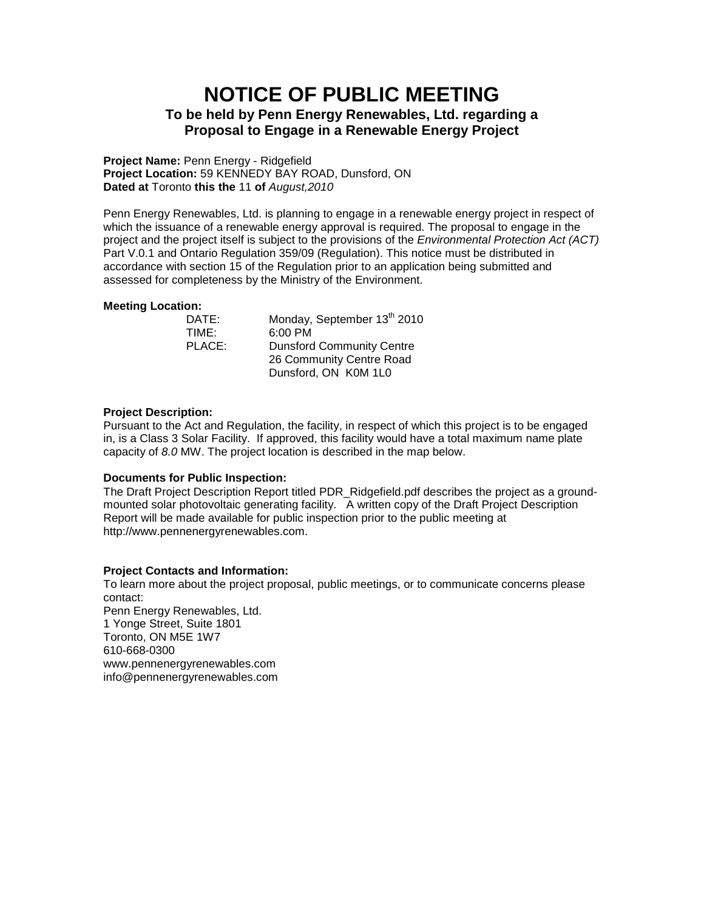# **NOTICE OF PUBLIC MEETING To be held by Penn Energy Renewables, Ltd. regarding a Proposal to Engage in a Renewable Energy Project**

**Project Name:** Penn Energy - Ridgefield **Project Location:** 59 KENNEDY BAY ROAD, Dunsford, ON **Dated at** Toronto **this the** 11 **of** *August,2010*

Penn Energy Renewables, Ltd. is planning to engage in a renewable energy project in respect of which the issuance of a renewable energy approval is required. The proposal to engage in the project and the project itself is subject to the provisions of the *Environmental Protection Act (ACT)* Part V.0.1 and Ontario Regulation 359/09 (Regulation). This notice must be distributed in accordance with section 15 of the Regulation prior to an application being submitted and assessed for completeness by the Ministry of the Environment.

# **Meeting Location:**

| DATE:  | Monday, September 13 <sup>th</sup> 2010 |
|--------|-----------------------------------------|
| TIME:  | $6:00$ PM                               |
| PLACE: | <b>Dunsford Community Centre</b>        |
|        | 26 Community Centre Road                |
|        | Dunsford, ON K0M 1L0                    |

# **Project Description:**

Pursuant to the Act and Regulation, the facility, in respect of which this project is to be engaged in, is a Class 3 Solar Facility. If approved, this facility would have a total maximum name plate capacity of *8.0* MW. The project location is described in the map below.

# **Documents for Public Inspection:**

The Draft Project Description Report titled PDR\_Ridgefield.pdf describes the project as a groundmounted solar photovoltaic generating facility. A written copy of the Draft Project Description Report will be made available for public inspection prior to the public meeting at http://www.pennenergyrenewables.com.

# **Project Contacts and Information:**

To learn more about the project proposal, public meetings, or to communicate concerns please contact: Penn Energy Renewables, Ltd. 1 Yonge Street, Suite 1801 Toronto, ON M5E 1W7 610-668-0300 www.pennenergyrenewables.com info@pennenergyrenewables.com